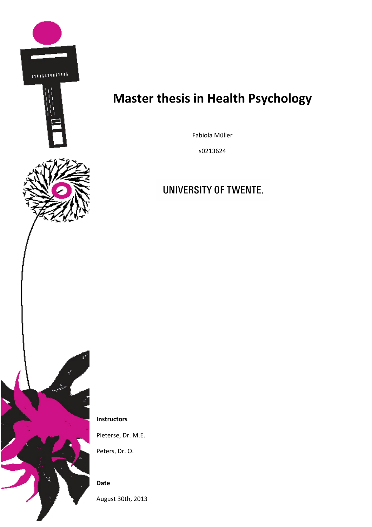

# **Master thesis in Health Psychology**

Fabiola Müller

s0213624

# **UNIVERSITY OF TWENTE.**

**Instructors** 

Pieterse, Dr. M.E.

Peters, Dr. O.

**Date**  August 30th, 2013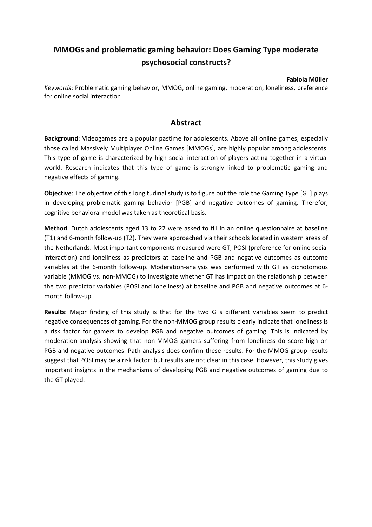# **MMOGs and problematic gaming behavior: Does Gaming Type moderate psychosocial constructs?**

#### **Fabiola Müller**

*Keywords*: Problematic gaming behavior, MMOG, online gaming, moderation, loneliness, preference for online social interaction

# **Abstract**

**Background**: Videogames are a popular pastime for adolescents. Above all online games, especially those called Massively Multiplayer Online Games [MMOGs], are highly popular among adolescents. This type of game is characterized by high social interaction of players acting together in a virtual world. Research indicates that this type of game is strongly linked to problematic gaming and negative effects of gaming.

**Objective**: The objective of this longitudinal study is to figure out the role the Gaming Type [GT] plays in developing problematic gaming behavior [PGB] and negative outcomes of gaming. Therefor, cognitive behavioral model was taken as theoretical basis.

**Method**: Dutch adolescents aged 13 to 22 were asked to fill in an online questionnaire at baseline (T1) and 6-month follow-up (T2). They were approached via their schools located in western areas of the Netherlands. Most important components measured were GT, POSI (preference for online social interaction) and loneliness as predictors at baseline and PGB and negative outcomes as outcome variables at the 6-month follow-up. Moderation-analysis was performed with GT as dichotomous variable (MMOG vs. non-MMOG) to investigate whether GT has impact on the relationship between the two predictor variables (POSI and loneliness) at baseline and PGB and negative outcomes at 6 month follow-up.

**Results**: Major finding of this study is that for the two GTs different variables seem to predict negative consequences of gaming. For the non-MMOG group results clearly indicate that loneliness is a risk factor for gamers to develop PGB and negative outcomes of gaming. This is indicated by moderation-analysis showing that non-MMOG gamers suffering from loneliness do score high on PGB and negative outcomes. Path-analysis does confirm these results. For the MMOG group results suggest that POSI may be a risk factor; but results are not clear in this case. However, this study gives important insights in the mechanisms of developing PGB and negative outcomes of gaming due to the GT played.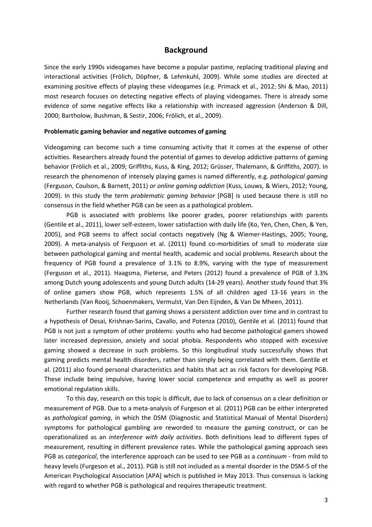# **Background**

Since the early 1990s videogames have become a popular pastime, replacing traditional playing and interactional activities (Frölich, Döpfner, & Lehmkuhl, 2009). While some studies are directed at examining positive effects of playing these videogames (e.g. Primack et al., 2012; Shi & Mao, 2011) most research focuses on detecting negative effects of playing videogames. There is already some evidence of some negative effects like a relationship with increased aggression (Anderson & Dill, 2000; Bartholow, Bushman, & Sestir, 2006; Frölich, et al., 2009).

#### **Problematic gaming behavior and negative outcomes of gaming**

Videogaming can become such a time consuming activity that it comes at the expense of other activities. Researchers already found the potential of games to develop addictive patterns of gaming behavior (Frölich et al., 2009; Griffiths, Kuss, & King, 2012; Grüsser, Thalemann, & Griffiths, 2007). In research the phenomenon of intensely playing games is named differently, e.g*. pathological gaming* (Ferguson, Coulson, & Barnett, 2011) *or online gaming addiction* (Kuss, Louws, & Wiers, 2012; Young, 2009). In this study the term *problematic gaming behavior* [PGB] is used because there is still no consensus in the field whether PGB can be seen as a pathological problem.

 PGB is associated with problems like poorer grades, poorer relationships with parents (Gentile et al., 2011), lower self-esteem, lower satisfaction with daily life (Ko, Yen, Chen, Chen, & Yen, 2005), and PGB seems to affect social contacts negatively (Ng & Wiemer-Hastings, 2005; Young, 2009). A meta-analysis of Ferguson et al. (2011) found co-morbidities of small to moderate size between pathological gaming and mental health, academic and social problems. Research about the frequency of PGB found a prevalence of 3.1% to 8.9%, varying with the type of measurement (Ferguson et al., 2011). Haagsma, Pieterse, and Peters (2012) found a prevalence of PGB of 3.3% among Dutch young adolescents and young Dutch adults (14-29 years). Another study found that 3% of online gamers show PGB, which represents 1.5% of all children aged 13-16 years in the Netherlands (Van Rooij, Schoenmakers, Vermulst, Van Den Eijnden, & Van De Mheen, 2011).

 Further research found that gaming shows a persistent addiction over time and in contrast to a hypothesis of Desai, Krishnan-Sarins, Cavallo, and Potenza (2010), Gentile et al. (2011) found that PGB is not just a symptom of other problems: youths who had become pathological gamers showed later increased depression, anxiety and social phobia. Respondents who stopped with excessive gaming showed a decrease in such problems. So this longitudinal study successfully shows that gaming predicts mental health disorders, rather than simply being correlated with them. Gentile et al. (2011) also found personal characteristics and habits that act as risk factors for developing PGB. These include being impulsive, having lower social competence and empathy as well as poorer emotional regulation skills.

 To this day, research on this topic is difficult, due to lack of consensus on a clear definition or measurement of PGB. Due to a meta-analysis of Furgeson et al. (2011) PGB can be either interpreted as *pathological gaming*, in which the DSM (Diagnostic and Statistical Manual of Mental Disorders) symptoms for pathological gambling are reworded to measure the gaming construct, or can be operationalized as an *interference with daily activities*. Both definitions lead to different types of measurement, resulting in different prevalence rates. While the pathological gaming approach sees PGB as *categorical*, the interference approach can be used to see PGB as a *continuum -* from mild to heavy levels (Furgeson et al., 2011). PGB is still not included as a mental disorder in the DSM-5 of the American Psychological Association [APA] which is published in May 2013. Thus consensus is lacking with regard to whether PGB is pathological and requires therapeutic treatment.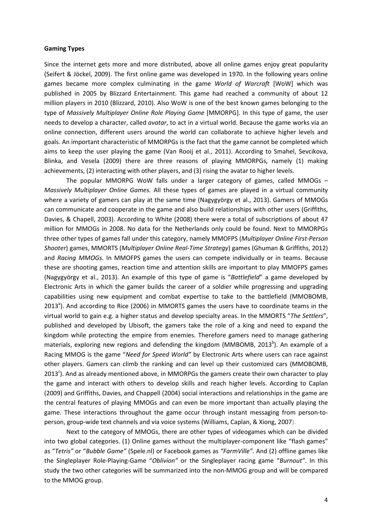#### **Gaming Types**

Since the internet gets more and more distributed, above all online games enjoy great popularity (Seifert & Jöckel, 2009). The first online game was developed in 1970. In the following years online games became more complex culminating in the game *World of Warcraft* [WoW] which was published in 2005 by Blizzard Entertainment. This game had reached a community of about 12 million players in 2010 (Blizzard, 2010). Also WoW is one of the best known games belonging to the type of *Massively Multiplayer Online Role Playing Game* [MMORPG]. In this type of game, the user needs to develop a character, called *avatar*, to act in a virtual world. Because the game works via an online connection, different users around the world can collaborate to achieve higher levels and goals. An important characteristic of MMORPGs is the fact that the game cannot be completed which aims to keep the user playing the game (Van Rooij et al., 2011). According to Smahel, Sevcikova, Blinka, and Vesela (2009) there are three reasons of playing MMORPGs, namely (1) making achievements, (2) interacting with other players, and (3) rising the avatar to higher levels.

 The popular MMORPG WoW falls under a larger category of games, called MMOGs – *Massively Multiplayer Online Games.* All these types of games are played in a virtual community where a variety of gamers can play at the same time (Nagygyörgy et al., 2013). Gamers of MMOGs can communicate and cooperate in the game and also build relationships with other users (Griffiths, Davies, & Chapell, 2003). According to White (2008) there were a total of subscriptions of about 47 million for MMOGs in 2008. No data for the Netherlands only could be found. Next to MMORPGs three other types of games fall under this category, namely MMOFPS (*Multiplayer Online First-Person Shooter*) games, MMORTS (*Multiplayer Online Real-Time Strategy*) games (Ghuman & Griffiths, 2012) and *Racing MMOGs*. In MMOFPS games the users can compete individually or in teams. Because these are shooting games, reaction time and attention skills are important to play MMOFPS games (Nagygyörgy et al., 2013). An example of this type of game is "*Battlefield*" a game developed by Electronic Arts in which the gamer builds the career of a soldier while progressing and upgrading capabilities using new equipment and combat expertise to take to the battlefield (MMOBOMB, 2013<sup>a</sup>). And according to Rice (2006) in MMORTS games the users have to coordinate teams in the virtual world to gain e.g. a higher status and develop specialty areas. In the MMORTS "*The Settlers*", published and developed by Ubisoft, the gamers take the role of a king and need to expand the kingdom while protecting the empire from enemies. Therefore gamers need to manage gathering materials, exploring new regions and defending the kingdom (MMBOMB, 2013<sup>b</sup>). An example of a Racing MMOG is the game "*Need for Speed World"* by Electronic Arts where users can race against other players. Gamers can climb the ranking and can level up their customized cars (MMOBOMB, 2013 $\text{c}$ ). And as already mentioned above, in MMORPGs the gamers create their own character to play the game and interact with others to develop skills and reach higher levels. According to Caplan (2009) and Griffiths, Davies, and Chappell (2004) social interactions and relationships in the game are the central features of playing MMOGs and can even be more important than actually playing the game. These interactions throughout the game occur through instant messaging from person-toperson, group-wide text channels and via voice systems (Williams, Caplan, & Xiong, 2007).

Next to the category of MMOGs, there are other types of videogames which can be divided into two global categories. (1) Online games without the multiplayer-component like "flash games" as "*Tetris"* or "*Bubble Game"* (Spele.nl) or Facebook games as *"FarmVille".* And (2) offline games like the Singleplayer Role-Playing-Game "*Oblivion"* or the Singleplayer racing game "*Burnout"*. In this study the two other categories will be summarized into the non-MMOG group and will be compared to the MMOG group.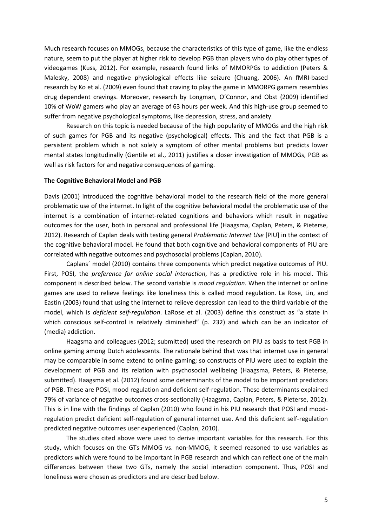Much research focuses on MMOGs, because the characteristics of this type of game, like the endless nature, seem to put the player at higher risk to develop PGB than players who do play other types of videogames (Kuss, 2012). For example, research found links of MMORPGs to addiction (Peters & Malesky, 2008) and negative physiological effects like seizure (Chuang, 2006). An fMRI-based research by Ko et al. (2009) even found that craving to play the game in MMORPG gamers resembles drug dependent cravings. Moreover, research by Longman, O´Connor, and Obst (2009) identified 10% of WoW gamers who play an average of 63 hours per week. And this high-use group seemed to suffer from negative psychological symptoms, like depression, stress, and anxiety.

 Research on this topic is needed because of the high popularity of MMOGs and the high risk of such games for PGB and its negative (psychological) effects. This and the fact that PGB is a persistent problem which is not solely a symptom of other mental problems but predicts lower mental states longitudinally (Gentile et al., 2011) justifies a closer investigation of MMOGs, PGB as well as risk factors for and negative consequences of gaming.

#### **The Cognitive Behavioral Model and PGB**

Davis (2001) introduced the cognitive behavioral model to the research field of the more general problematic use of the internet. In light of the cognitive behavioral model the problematic use of the internet is a combination of internet-related cognitions and behaviors which result in negative outcomes for the user, both in personal and professional life (Haagsma, Caplan, Peters, & Pieterse, 2012). Research of Caplan deals with testing general *Problematic Internet Use* [PIU] in the context of the cognitive behavioral model. He found that both cognitive and behavioral components of PIU are correlated with negative outcomes and psychosocial problems (Caplan, 2010).

 Caplans´ model (2010) contains three components which predict negative outcomes of PIU. First, POSI, the *preference for online social interaction*, has a predictive role in his model. This component is described below. The second variable is *mood regulation.* When the internet or online games are used to relieve feelings like loneliness this is called mood regulation. La Rose, Lin, and Eastin (2003) found that using the internet to relieve depression can lead to the third variable of the model, which is *deficient self-regulation*. LaRose et al. (2003) define this construct as "a state in which conscious self-control is relatively diminished" (p. 232) and which can be an indicator of (media) addiction.

 Haagsma and colleagues (2012; submitted) used the research on PIU as basis to test PGB in online gaming among Dutch adolescents. The rationale behind that was that internet use in general may be comparable in some extend to online gaming; so constructs of PIU were used to explain the development of PGB and its relation with psychosocial wellbeing (Haagsma, Peters, & Pieterse, submitted). Haagsma et al. (2012) found some determinants of the model to be important predictors of PGB. These are POSI, mood regulation and deficient self-regulation. These determinants explained 79% of variance of negative outcomes cross-sectionally (Haagsma, Caplan, Peters, & Pieterse, 2012). This is in line with the findings of Caplan (2010) who found in his PIU research that POSI and moodregulation predict deficient self-regulation of general internet use. And this deficient self-regulation predicted negative outcomes user experienced (Caplan, 2010).

 The studies cited above were used to derive important variables for this research. For this study, which focuses on the GTs MMOG vs. non-MMOG, it seemed reasoned to use variables as predictors which were found to be important in PGB research and which can reflect one of the main differences between these two GTs, namely the social interaction component. Thus, POSI and loneliness were chosen as predictors and are described below.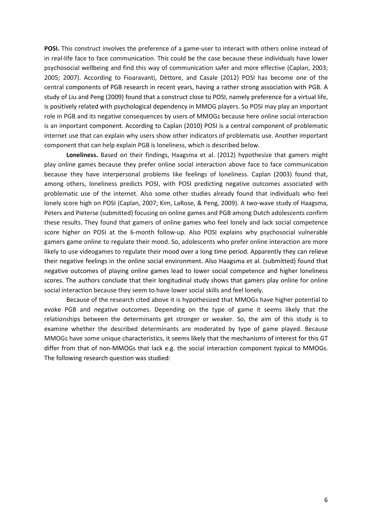**POSI.** This construct involves the preference of a game-user to interact with others online instead of in real-life face to face communication. This could be the case because these individuals have lower psychosocial wellbeing and find this way of communication safer and more effective (Caplan, 2003; 2005; 2007). According to Fioaravanti, Dèttore, and Casale (2012) POSI has become one of the central components of PGB research in recent years, having a rather strong association with PGB. A study of Liu and Peng (2009) found that a construct close to POSI, namely preference for a virtual life, is positively related with psychological dependency in MMOG players. So POSI may play an important role in PGB and its negative consequences by users of MMOGs because here online social interaction is an important component. According to Caplan (2010) POSI is a central component of problematic internet use that can explain why users show other indicators of problematic use. Another important component that can help explain PGB is loneliness, which is described below.

**Loneliness.** Based on their findings, Haagsma et al. (2012) hypothesize that gamers might play online games because they prefer online social interaction above face to face communication because they have interpersonal problems like feelings of loneliness. Caplan (2003) found that, among others, loneliness predicts POSI, with POSI predicting negative outcomes associated with problematic use of the internet. Also some other studies already found that individuals who feel lonely score high on POSI (Caplan, 2007; Kim, LaRose, & Peng, 2009). A two-wave study of Haagsma, Peters and Pieterse (submitted) focusing on online games and PGB among Dutch adolescents confirm these results. They found that gamers of online games who feel lonely and lack social competence score higher on POSI at the 6-month follow-up. Also POSI explains why psychosocial vulnerable gamers game online to regulate their mood. So, adolescents who prefer online interaction are more likely to use videogames to regulate their mood over a long time period. Apparently they can relieve their negative feelings in the online social environment. Also Haagsma et al. (submitted) found that negative outcomes of playing online games lead to lower social competence and higher loneliness scores. The authors conclude that their longitudinal study shows that gamers play online for online social interaction because they seem to have lower social skills and feel lonely.

 Because of the research cited above it is hypothesized that MMOGs have higher potential to evoke PGB and negative outcomes. Depending on the type of game it seems likely that the relationships between the determinants get stronger or weaker. So, the aim of this study is to examine whether the described determinants are moderated by type of game played. Because MMOGs have some unique characteristics, it seems likely that the mechanisms of interest for this GT differ from that of non-MMOGs that lack e.g. the social interaction component typical to MMOGs. The following research question was studied: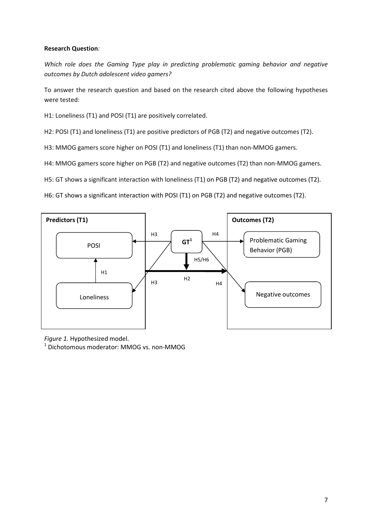### **Research Question***:*

*Which role does the Gaming Type play in predicting problematic gaming behavior and negative outcomes by Dutch adolescent video gamers?* 

To answer the research question and based on the research cited above the following hypotheses were tested:

H1: Loneliness (T1) and POSI (T1) are positively correlated.

H2: POSI (T1) and loneliness (T1) are positive predictors of PGB (T2) and negative outcomes (T2).

H3: MMOG gamers score higher on POSI (T1) and loneliness (T1) than non-MMOG gamers.

H4: MMOG gamers score higher on PGB (T2) and negative outcomes (T2) than non-MMOG gamers.

H5: GT shows a significant interaction with loneliness (T1) on PGB (T2) and negative outcomes (T2).

H6: GT shows a significant interaction with POSI (T1) on PGB (T2) and negative outcomes (T2).



*Figure 1.* Hypothesized model.

<sup>1</sup> Dichotomous moderator: MMOG vs. non-MMOG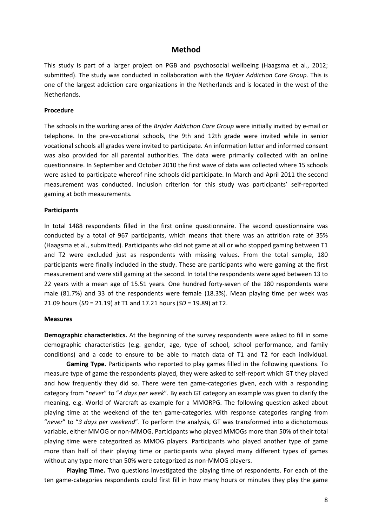# **Method**

This study is part of a larger project on PGB and psychosocial wellbeing (Haagsma et al., 2012; submitted). The study was conducted in collaboration with the *Brijder Addiction Care Group*. This is one of the largest addiction care organizations in the Netherlands and is located in the west of the Netherlands.

#### **Procedure**

The schools in the working area of the *Brijder Addiction Care Group* were initially invited by e-mail or telephone. In the pre-vocational schools, the 9th and 12th grade were invited while in senior vocational schools all grades were invited to participate. An information letter and informed consent was also provided for all parental authorities. The data were primarily collected with an online questionnaire. In September and October 2010 the first wave of data was collected where 15 schools were asked to participate whereof nine schools did participate. In March and April 2011 the second measurement was conducted. Inclusion criterion for this study was participants' self-reported gaming at both measurements.

#### **Participants**

In total 1488 respondents filled in the first online questionnaire. The second questionnaire was conducted by a total of 967 participants, which means that there was an attrition rate of 35% (Haagsma et al., submitted). Participants who did not game at all or who stopped gaming between T1 and T2 were excluded just as respondents with missing values. From the total sample, 180 participants were finally included in the study. These are participants who were gaming at the first measurement and were still gaming at the second. In total the respondents were aged between 13 to 22 years with a mean age of 15.51 years. One hundred forty-seven of the 180 respondents were male (81.7%) and 33 of the respondents were female (18.3%). Mean playing time per week was 21.09 hours (*SD* = 21.19) at T1 and 17.21 hours (*SD* = 19.89) at T2.

#### **Measures**

**Demographic characteristics.** At the beginning of the survey respondents were asked to fill in some demographic characteristics (e.g. gender, age, type of school, school performance, and family conditions) and a code to ensure to be able to match data of T1 and T2 for each individual.

**Gaming Type.** Participants who reported to play games filled in the following questions. To measure type of game the respondents played, they were asked to self-report which GT they played and how frequently they did so. There were ten game-categories given, each with a responding category from "*never*" to "*4 days per week*". By each GT category an example was given to clarify the meaning, e.g. World of Warcraft as example for a MMORPG. The following question asked about playing time at the weekend of the ten game-categories, with response categories ranging from "*never*" to "*3 days per weekend*". To perform the analysis, GT was transformed into a dichotomous variable, either MMOG or non-MMOG. Participants who played MMOGs more than 50% of their total playing time were categorized as MMOG players. Participants who played another type of game more than half of their playing time or participants who played many different types of games without any type more than 50% were categorized as non-MMOG players.

**Playing Time.** Two questions investigated the playing time of respondents. For each of the ten game-categories respondents could first fill in how many hours or minutes they play the game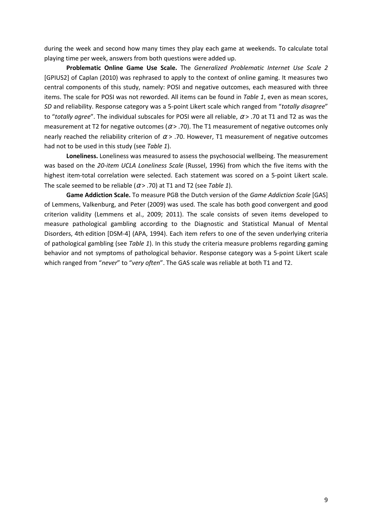during the week and second how many times they play each game at weekends. To calculate total playing time per week, answers from both questions were added up.

**Problematic Online Game Use Scale.** The *Generalized Problematic Internet Use Scale 2* [GPIUS2] of Caplan (2010) was rephrased to apply to the context of online gaming. It measures two central components of this study, namely: POSI and negative outcomes, each measured with three items. The scale for POSI was not reworded. All items can be found in *Table 1*, even as mean scores, *SD* and reliability. Response category was a 5-point Likert scale which ranged from "*totally disagree*" to "*totally agree*". The individual subscales for POSI were all reliable,  $\alpha$  > .70 at T1 and T2 as was the measurement at T2 for negative outcomes ( $\alpha$  > .70). The T1 measurement of negative outcomes only nearly reached the reliability criterion of  $\alpha$  > .70. However, T1 measurement of negative outcomes had not to be used in this study (see *Table 1*).

**Loneliness.** Loneliness was measured to assess the psychosocial wellbeing. The measurement was based on the *20-item UCLA Loneliness Scale* (Russel, 1996) from which the five items with the highest item-total correlation were selected. Each statement was scored on a 5-point Likert scale. The scale seemed to be reliable ( $\alpha$  > .70) at T1 and T2 (see *Table 1*).

**Game Addiction Scale.** To measure PGB the Dutch version of the *Game Addiction Scale* [GAS] of Lemmens, Valkenburg, and Peter (2009) was used. The scale has both good convergent and good criterion validity (Lemmens et al., 2009; 2011). The scale consists of seven items developed to measure pathological gambling according to the Diagnostic and Statistical Manual of Mental Disorders, 4th edition [DSM-4] (APA, 1994). Each item refers to one of the seven underlying criteria of pathological gambling (see *Table 1*). In this study the criteria measure problems regarding gaming behavior and not symptoms of pathological behavior. Response category was a 5-point Likert scale which ranged from "*never*" to "*very often*". The GAS scale was reliable at both T1 and T2.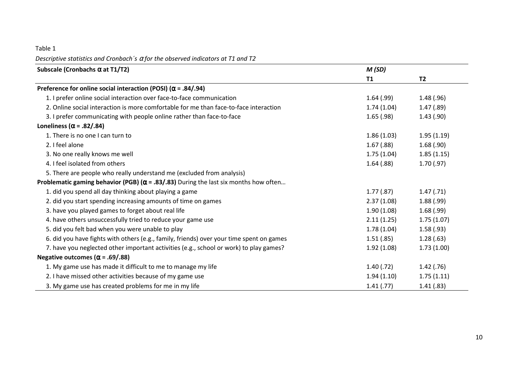Table 1

*Descriptive statistics and Cronbach´s* α *for the observed indicators at T1 and T2* 

| Subscale (Cronbachs $\alpha$ at T1/T2)                                                       | M(SD)      |                |  |
|----------------------------------------------------------------------------------------------|------------|----------------|--|
|                                                                                              | <b>T1</b>  | T <sub>2</sub> |  |
| Preference for online social interaction (POSI) ( $\alpha$ = .84/.94)                        |            |                |  |
| 1. I prefer online social interaction over face-to-face communication                        | 1.64(0.99) | 1.48(.96)      |  |
| 2. Online social interaction is more comfortable for me than face-to-face interaction        | 1.74(1.04) | 1.47(0.89)     |  |
| 3. I prefer communicating with people online rather than face-to-face                        | 1.65(.98)  | 1.43(.90)      |  |
| Loneliness ( $\alpha$ = .82/.84)                                                             |            |                |  |
| 1. There is no one I can turn to                                                             | 1.86(1.03) | 1.95(1.19)     |  |
| 2. I feel alone                                                                              | 1.67(.88)  | 1.68(.90)      |  |
| 3. No one really knows me well                                                               | 1.75(1.04) | 1.85(1.15)     |  |
| 4. I feel isolated from others                                                               | 1.64(0.88) | 1.70(0.97)     |  |
| 5. There are people who really understand me (excluded from analysis)                        |            |                |  |
| Problematic gaming behavior (PGB) ( $\alpha$ = .83/.83) During the last six months how often |            |                |  |
| 1. did you spend all day thinking about playing a game                                       | 1.77(0.87) | 1.47(0.71)     |  |
| 2. did you start spending increasing amounts of time on games                                | 2.37(1.08) | 1.88(.99)      |  |
| 3. have you played games to forget about real life                                           | 1.90(1.08) | 1.68(.99)      |  |
| 4. have others unsuccessfully tried to reduce your game use                                  | 2.11(1.25) | 1.75(1.07)     |  |
| 5. did you felt bad when you were unable to play                                             | 1.78(1.04) | 1.58(0.93)     |  |
| 6. did you have fights with others (e.g., family, friends) over your time spent on games     | 1.51(.85)  | 1.28(.63)      |  |
| 7. have you neglected other important activities (e.g., school or work) to play games?       | 1.92(1.08) | 1.73(1.00)     |  |
| Negative outcomes ( $\alpha$ = .69/.88)                                                      |            |                |  |
| 1. My game use has made it difficult to me to manage my life                                 | 1.40(0.72) | 1.42(.76)      |  |
| 2. I have missed other activities because of my game use                                     | 1.94(1.10) | 1.75(1.11)     |  |
| 3. My game use has created problems for me in my life                                        | 1.41(.77)  | 1.41(.83)      |  |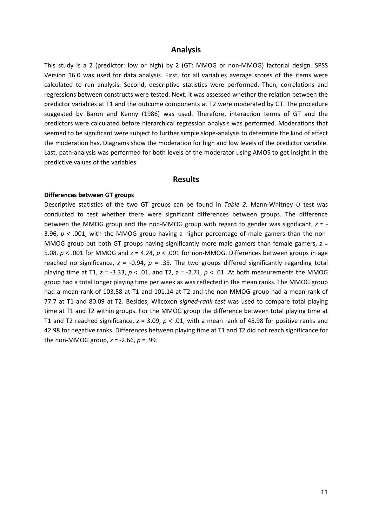# **Analysis**

This study is a 2 (predictor: low or high) by 2 (GT: MMOG or non-MMOG) factorial design. SPSS Version 16.0 was used for data analysis. First, for all variables average scores of the items were calculated to run analysis. Second, descriptive statistics were performed. Then, correlations and regressions between constructs were tested. Next, it was assessed whether the relation between the predictor variables at T1 and the outcome components at T2 were moderated by GT. The procedure suggested by Baron and Kenny (1986) was used. Therefore, interaction terms of GT and the predictors were calculated before hierarchical regression analysis was performed. Moderations that seemed to be significant were subject to further simple slope-analysis to determine the kind of effect the moderation has. Diagrams show the moderation for high and low levels of the predictor variable. Last, path-analysis was performed for both levels of the moderator using AMOS to get insight in the predictive values of the variables.

#### **Results**

#### **Differences between GT groups**

Descriptive statistics of the two GT groups can be found in *Table 2.* Mann-Whitney *U* test was conducted to test whether there were significant differences between groups. The difference between the MMOG group and the non-MMOG group with regard to gender was significant, *z* = - 3.96,  $p < .001$ , with the MMOG group having a higher percentage of male gamers than the non-MMOG group but both GT groups having significantly more male gamers than female gamers, *z* = 5.08, *p* < .001 for MMOG and *z* = 4.24, *p* < .001 for non-MMOG. Differences between groups in age reached no significance,  $z = -0.94$ ,  $p = .35$ . The two groups differed significantly regarding total playing time at T1, *z* = -3.33, *p* < .01, and T2, *z* = -2.71, *p* < .01. At both measurements the MMOG group had a total longer playing time per week as was reflected in the mean ranks. The MMOG group had a mean rank of 103.58 at T1 and 101.14 at T2 and the non-MMOG group had a mean rank of 77.7 at T1 and 80.09 at T2. Besides, Wilcoxon *signed-rank test* was used to compare total playing time at T1 and T2 within groups. For the MMOG group the difference between total playing time at T1 and T2 reached significance,  $z = 3.09$ ,  $p < .01$ , with a mean rank of 45.98 for positive ranks and 42.98 for negative ranks. Differences between playing time at T1 and T2 did not reach significance for the non-MMOG group, *z* = -2.66, *p* = .99.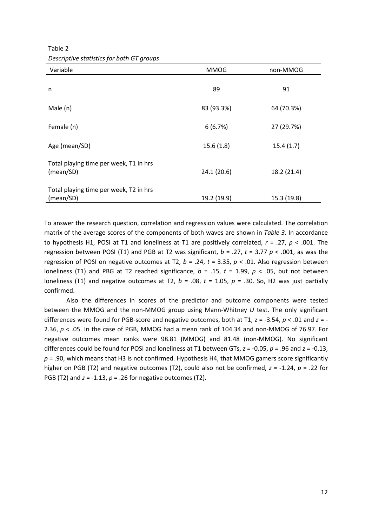| sssps statistics js. sst S. g. saps<br>Variable     | <b>MMOG</b> | non-MMOG    |  |
|-----------------------------------------------------|-------------|-------------|--|
|                                                     |             |             |  |
| n                                                   | 89          | 91          |  |
| Male (n)                                            | 83 (93.3%)  | 64 (70.3%)  |  |
| Female (n)                                          | 6(6.7%)     | 27 (29.7%)  |  |
| Age (mean/SD)                                       | 15.6(1.8)   | 15.4(1.7)   |  |
| Total playing time per week, T1 in hrs<br>(mean/SD) | 24.1(20.6)  | 18.2 (21.4) |  |
| Total playing time per week, T2 in hrs<br>(mean/SD) | 19.2 (19.9) | 15.3 (19.8) |  |

Table 2 *Descriptive statistics for both GT groups* 

To answer the research question, correlation and regression values were calculated. The correlation matrix of the average scores of the components of both waves are shown in *Table 3*. In accordance to hypothesis H1, POSI at T1 and loneliness at T1 are positively correlated, *r* = .27, *p* < .001. The regression between POSI (T1) and PGB at T2 was significant,  $b = .27$ ,  $t = 3.77$   $p < .001$ , as was the regression of POSI on negative outcomes at T2, *b* = .24, *t* = 3.35, *p* < .01. Also regression between loneliness (T1) and PBG at T2 reached significance, *b* = .15, *t* = 1.99, *p* < .05, but not between loneliness (T1) and negative outcomes at T2,  $b = .08$ ,  $t = 1.05$ ,  $p = .30$ . So, H2 was just partially confirmed.

 Also the differences in scores of the predictor and outcome components were tested between the MMOG and the non-MMOG group using Mann-Whitney *U* test. The only significant differences were found for PGB-score and negative outcomes, both at T1, *z* = -3.54, *p* < .01 and *z* = - 2.36, *p* < .05. In the case of PGB, MMOG had a mean rank of 104.34 and non-MMOG of 76.97. For negative outcomes mean ranks were 98.81 (MMOG) and 81.48 (non-MMOG). No significant differences could be found for POSI and loneliness at T1 between GTs, *z* = -0.05, *p* = .96 and *z* = -0.13, *p* = .90, which means that H3 is not confirmed. Hypothesis H4, that MMOG gamers score significantly higher on PGB (T2) and negative outcomes (T2), could also not be confirmed, *z* = -1.24, *p* = .22 for PGB (T2) and *z* = -1.13, *p* = .26 for negative outcomes (T2).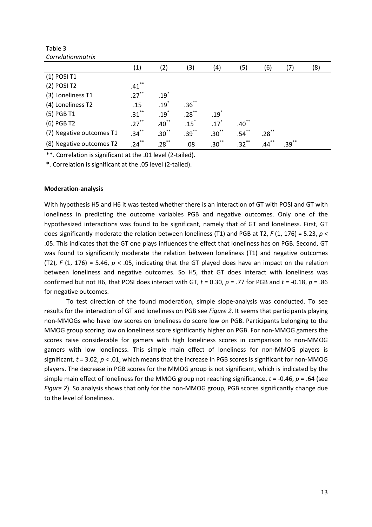|                          | (1)                 | (2)                | (3)      | (4)                | (5)        | (6)      | (7)      | (8) |
|--------------------------|---------------------|--------------------|----------|--------------------|------------|----------|----------|-----|
| $(1)$ POSI T1            |                     |                    |          |                    |            |          |          |     |
| (2) POSI T2              | $.41***$            |                    |          |                    |            |          |          |     |
| (3) Loneliness T1        | $.27***$            | $.19$ <sup>*</sup> |          |                    |            |          |          |     |
| (4) Loneliness T2        | .15                 | .19                | $.36***$ |                    |            |          |          |     |
| (5) PGB T1               | $.31***$            | $.19$ $*$          | $.28***$ | .19                |            |          |          |     |
| (6) PGB T2               | $.27$ <sup>**</sup> | $.40^{**}$         | .15      | $.17$ <sup>*</sup> | $.40^{**}$ |          |          |     |
| (7) Negative outcomes T1 | $.34***$            | $.30^{**}$         | $.39***$ | $.30***$           | $.54***$   | $.28$ ** |          |     |
| (8) Negative outcomes T2 | $.24***$            | $.28***$           | .08      | $.30^{**}$         | $.32***$   | $.44***$ | $.39***$ |     |

Table 3 *Correlationmatrix* 

\*\*. Correlation is significant at the .01 level (2-tailed).

\*. Correlation is significant at the .05 level (2-tailed).

#### **Moderation-analysis**

With hypothesis H5 and H6 it was tested whether there is an interaction of GT with POSI and GT with loneliness in predicting the outcome variables PGB and negative outcomes. Only one of the hypothesized interactions was found to be significant, namely that of GT and loneliness. First, GT does significantly moderate the relation between loneliness (T1) and PGB at T2, *F* (1, 176) = 5.23, *p* < .05. This indicates that the GT one plays influences the effect that loneliness has on PGB. Second, GT was found to significantly moderate the relation between loneliness (T1) and negative outcomes (T2), *F* (1, 176) = 5.46,  $p < .05$ , indicating that the GT played does have an impact on the relation between loneliness and negative outcomes. So H5, that GT does interact with loneliness was confirmed but not H6, that POSI does interact with GT, *t* = 0.30, *p* = .77 for PGB and *t* = -0.18, *p* = .86 for negative outcomes.

 To test direction of the found moderation, simple slope-analysis was conducted. To see results for the interaction of GT and loneliness on PGB see *Figure 2.* It seems that participants playing non-MMOGs who have low scores on loneliness do score low on PGB. Participants belonging to the MMOG group scoring low on loneliness score significantly higher on PGB. For non-MMOG gamers the scores raise considerable for gamers with high loneliness scores in comparison to non-MMOG gamers with low loneliness. This simple main effect of loneliness for non-MMOG players is significant, *t* = 3.02, *p* < .01, which means that the increase in PGB scores is significant for non-MMOG players. The decrease in PGB scores for the MMOG group is not significant, which is indicated by the simple main effect of loneliness for the MMOG group not reaching significance, *t* = -0.46, *p* = .64 (see *Figure 2*). So analysis shows that only for the non-MMOG group, PGB scores significantly change due to the level of loneliness.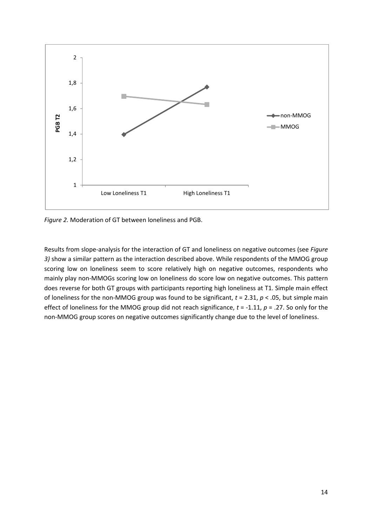

*Figure 2.* Moderation of GT between loneliness and PGB.

Results from slope-analysis for the interaction of GT and loneliness on negative outcomes (see *Figure 3)* show a similar pattern as the interaction described above. While respondents of the MMOG group scoring low on loneliness seem to score relatively high on negative outcomes, respondents who mainly play non-MMOGs scoring low on loneliness do score low on negative outcomes. This pattern does reverse for both GT groups with participants reporting high loneliness at T1. Simple main effect of loneliness for the non-MMOG group was found to be significant, *t* = 2.31, *p* < .05, but simple main effect of loneliness for the MMOG group did not reach significance, *t* = -1.11, *p* = .27. So only for the non-MMOG group scores on negative outcomes significantly change due to the level of loneliness.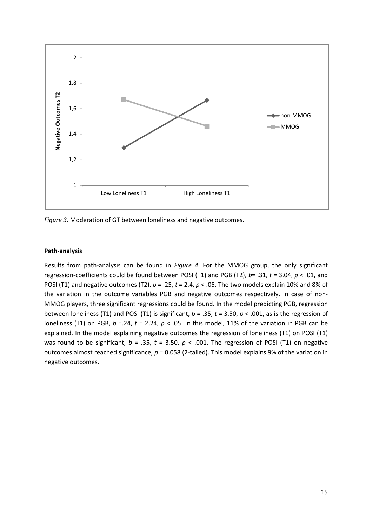

*Figure 3.* Moderation of GT between loneliness and negative outcomes.

#### **Path-analysis**

Results from path-analysis can be found in *Figure 4*. For the MMOG group, the only significant regression-coefficients could be found between POSI (T1) and PGB (T2), *b*= .31, *t* = 3.04, *p* < .01, and POSI (T1) and negative outcomes (T2), *b* = .25, *t* = 2.4, *p* < .05. The two models explain 10% and 8% of the variation in the outcome variables PGB and negative outcomes respectively. In case of non-MMOG players, three significant regressions could be found. In the model predicting PGB, regression between loneliness (T1) and POSI (T1) is significant, *b* = .35, *t* = 3.50, *p* < .001, as is the regression of loneliness (T1) on PGB, *b* =.24, *t* = 2.24, *p* < .05. In this model, 11% of the variation in PGB can be explained. In the model explaining negative outcomes the regression of loneliness (T1) on POSI (T1) was found to be significant, *b* = .35, *t* = 3.50, *p* < .001. The regression of POSI (T1) on negative outcomes almost reached significance, *p* = 0.058 (2-tailed). This model explains 9% of the variation in negative outcomes.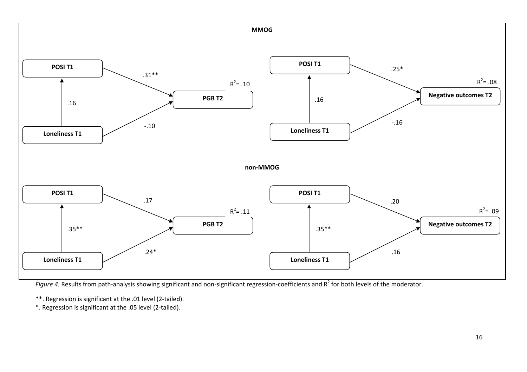

*Figure 4.* Results from path-analysis showing significant and non-significant regression-coefficients and R<sup>2</sup> for both levels of the moderator.

\*\*. Regression is significant at the .01 level (2-tailed).

\*. Regression is significant at the .05 level (2-tailed).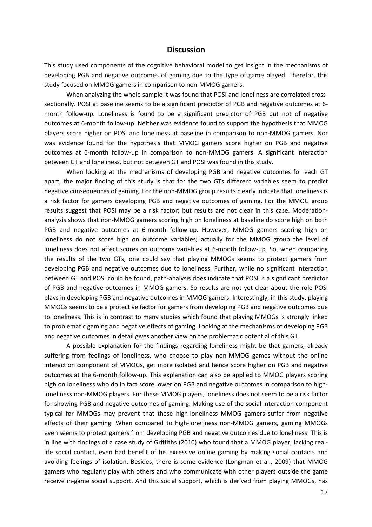# **Discussion**

This study used components of the cognitive behavioral model to get insight in the mechanisms of developing PGB and negative outcomes of gaming due to the type of game played. Therefor, this study focused on MMOG gamers in comparison to non-MMOG gamers.

 When analyzing the whole sample it was found that POSI and loneliness are correlated crosssectionally. POSI at baseline seems to be a significant predictor of PGB and negative outcomes at 6 month follow-up. Loneliness is found to be a significant predictor of PGB but not of negative outcomes at 6-month follow-up. Neither was evidence found to support the hypothesis that MMOG players score higher on POSI and loneliness at baseline in comparison to non-MMOG gamers. Nor was evidence found for the hypothesis that MMOG gamers score higher on PGB and negative outcomes at 6-month follow-up in comparison to non-MMOG gamers. A significant interaction between GT and loneliness, but not between GT and POSI was found in this study.

 When looking at the mechanisms of developing PGB and negative outcomes for each GT apart, the major finding of this study is that for the two GTs different variables seem to predict negative consequences of gaming. For the non-MMOG group results clearly indicate that loneliness is a risk factor for gamers developing PGB and negative outcomes of gaming. For the MMOG group results suggest that POSI may be a risk factor; but results are not clear in this case. Moderationanalysis shows that non-MMOG gamers scoring high on loneliness at baseline do score high on both PGB and negative outcomes at 6-month follow-up. However, MMOG gamers scoring high on loneliness do not score high on outcome variables; actually for the MMOG group the level of loneliness does not affect scores on outcome variables at 6-month follow-up. So, when comparing the results of the two GTs, one could say that playing MMOGs seems to protect gamers from developing PGB and negative outcomes due to loneliness. Further, while no significant interaction between GT and POSI could be found, path-analysis does indicate that POSI is a significant predictor of PGB and negative outcomes in MMOG-gamers. So results are not yet clear about the role POSI plays in developing PGB and negative outcomes in MMOG gamers. Interestingly, in this study, playing MMOGs seems to be a protective factor for gamers from developing PGB and negative outcomes due to loneliness. This is in contrast to many studies which found that playing MMOGs is strongly linked to problematic gaming and negative effects of gaming. Looking at the mechanisms of developing PGB and negative outcomes in detail gives another view on the problematic potential of this GT.

 A possible explanation for the findings regarding loneliness might be that gamers, already suffering from feelings of loneliness, who choose to play non-MMOG games without the online interaction component of MMOGs, get more isolated and hence score higher on PGB and negative outcomes at the 6-month follow-up. This explanation can also be applied to MMOG players scoring high on loneliness who do in fact score lower on PGB and negative outcomes in comparison to highloneliness non-MMOG players. For these MMOG players, loneliness does not seem to be a risk factor for showing PGB and negative outcomes of gaming. Making use of the social interaction component typical for MMOGs may prevent that these high-loneliness MMOG gamers suffer from negative effects of their gaming. When compared to high-loneliness non-MMOG gamers, gaming MMOGs even seems to protect gamers from developing PGB and negative outcomes due to loneliness. This is in line with findings of a case study of Griffiths (2010) who found that a MMOG player, lacking reallife social contact, even had benefit of his excessive online gaming by making social contacts and avoiding feelings of isolation. Besides, there is some evidence (Longman et al., 2009) that MMOG gamers who regularly play with others and who communicate with other players outside the game receive in-game social support. And this social support, which is derived from playing MMOGs, has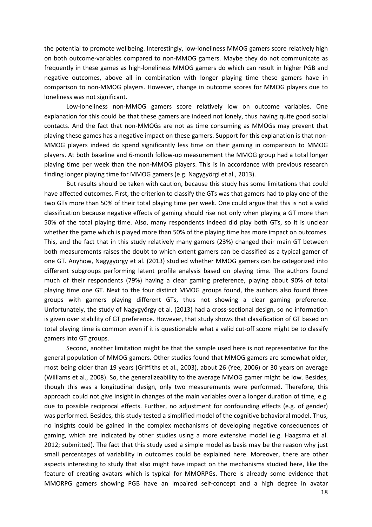the potential to promote wellbeing. Interestingly, low-loneliness MMOG gamers score relatively high on both outcome-variables compared to non-MMOG gamers. Maybe they do not communicate as frequently in these games as high-loneliness MMOG gamers do which can result in higher PGB and negative outcomes, above all in combination with longer playing time these gamers have in comparison to non-MMOG players. However, change in outcome scores for MMOG players due to loneliness was not significant.

 Low-loneliness non-MMOG gamers score relatively low on outcome variables. One explanation for this could be that these gamers are indeed not lonely, thus having quite good social contacts. And the fact that non-MMOGs are not as time consuming as MMOGs may prevent that playing these games has a negative impact on these gamers. Support for this explanation is that non-MMOG players indeed do spend significantly less time on their gaming in comparison to MMOG players. At both baseline and 6-month follow-up measurement the MMOG group had a total longer playing time per week than the non-MMOG players. This is in accordance with previous research finding longer playing time for MMOG gamers (e.g. Nagygyörgi et al., 2013).

 But results should be taken with caution, because this study has some limitations that could have affected outcomes. First, the criterion to classify the GTs was that gamers had to play one of the two GTs more than 50% of their total playing time per week. One could argue that this is not a valid classification because negative effects of gaming should rise not only when playing a GT more than 50% of the total playing time. Also, many respondents indeed did play both GTs, so it is unclear whether the game which is played more than 50% of the playing time has more impact on outcomes. This, and the fact that in this study relatively many gamers (23%) changed their main GT between both measurements raises the doubt to which extent gamers can be classified as a typical gamer of one GT. Anyhow, Nagygyörgy et al. (2013) studied whether MMOG gamers can be categorized into different subgroups performing latent profile analysis based on playing time. The authors found much of their respondents (79%) having a clear gaming preference, playing about 90% of total playing time one GT. Next to the four distinct MMOG groups found, the authors also found three groups with gamers playing different GTs, thus not showing a clear gaming preference. Unfortunately, the study of Nagygyörgy et al. (2013) had a cross-sectional design, so no information is given over stability of GT preference. However, that study shows that classification of GT based on total playing time is common even if it is questionable what a valid cut-off score might be to classify gamers into GT groups.

 Second, another limitation might be that the sample used here is not representative for the general population of MMOG gamers. Other studies found that MMOG gamers are somewhat older, most being older than 19 years (Griffiths et al., 2003), about 26 (Yee, 2006) or 30 years on average (Williams et al., 2008). So, the generalizeability to the average MMOG gamer might be low. Besides, though this was a longitudinal design, only two measurements were performed. Therefore, this approach could not give insight in changes of the main variables over a longer duration of time, e.g. due to possible reciprocal effects. Further, no adjustment for confounding effects (e.g. of gender) was performed. Besides, this study tested a simplified model of the cognitive behavioral model. Thus, no insights could be gained in the complex mechanisms of developing negative consequences of gaming, which are indicated by other studies using a more extensive model (e.g. Haagsma et al. 2012; submitted). The fact that this study used a simple model as basis may be the reason why just small percentages of variability in outcomes could be explained here. Moreover, there are other aspects interesting to study that also might have impact on the mechanisms studied here, like the feature of creating avatars which is typical for MMORPGs. There is already some evidence that MMORPG gamers showing PGB have an impaired self-concept and a high degree in avatar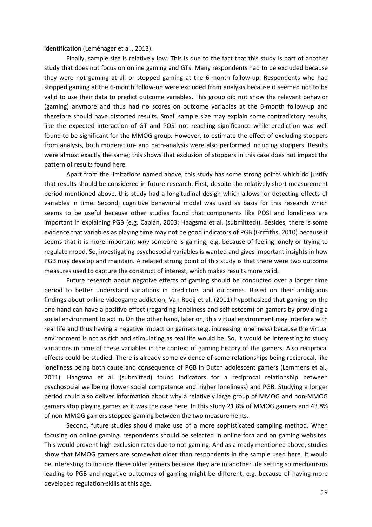identification (Leménager et al., 2013).

 Finally, sample size is relatively low. This is due to the fact that this study is part of another study that does not focus on online gaming and GTs. Many respondents had to be excluded because they were not gaming at all or stopped gaming at the 6-month follow-up. Respondents who had stopped gaming at the 6-month follow-up were excluded from analysis because it seemed not to be valid to use their data to predict outcome variables. This group did not show the relevant behavior (gaming) anymore and thus had no scores on outcome variables at the 6-month follow-up and therefore should have distorted results. Small sample size may explain some contradictory results, like the expected interaction of GT and POSI not reaching significance while prediction was well found to be significant for the MMOG group. However, to estimate the effect of excluding stoppers from analysis, both moderation- and path-analysis were also performed including stoppers. Results were almost exactly the same; this shows that exclusion of stoppers in this case does not impact the pattern of results found here.

 Apart from the limitations named above, this study has some strong points which do justify that results should be considered in future research. First, despite the relatively short measurement period mentioned above, this study had a longitudinal design which allows for detecting effects of variables in time. Second, cognitive behavioral model was used as basis for this research which seems to be useful because other studies found that components like POSI and loneliness are important in explaining PGB (e.g. Caplan, 2003; Haagsma et al. (submitted)). Besides, there is some evidence that variables as playing time may not be good indicators of PGB (Griffiths, 2010) because it seems that it is more important *why* someone is gaming, e.g. because of feeling lonely or trying to regulate mood. So, investigating psychosocial variables is wanted and gives important insights in how PGB may develop and maintain. A related strong point of this study is that there were two outcome measures used to capture the construct of interest, which makes results more valid.

 Future research about negative effects of gaming should be conducted over a longer time period to better understand variations in predictors and outcomes. Based on their ambiguous findings about online videogame addiction, Van Rooij et al. (2011) hypothesized that gaming on the one hand can have a positive effect (regarding loneliness and self-esteem) on gamers by providing a social environment to act in. On the other hand, later on, this virtual environment may interfere with real life and thus having a negative impact on gamers (e.g. increasing loneliness) because the virtual environment is not as rich and stimulating as real life would be. So, it would be interesting to study variations in time of these variables in the context of gaming history of the gamers. Also reciprocal effects could be studied. There is already some evidence of some relationships being reciprocal, like loneliness being both cause and consequence of PGB in Dutch adolescent gamers (Lemmens et al., 2011). Haagsma et al. (submitted) found indicators for a reciprocal relationship between psychosocial wellbeing (lower social competence and higher loneliness) and PGB. Studying a longer period could also deliver information about why a relatively large group of MMOG and non-MMOG gamers stop playing games as it was the case here. In this study 21.8% of MMOG gamers and 43.8% of non-MMOG gamers stopped gaming between the two measurements.

 Second, future studies should make use of a more sophisticated sampling method. When focusing on online gaming, respondents should be selected in online fora and on gaming websites. This would prevent high exclusion rates due to not-gaming. And as already mentioned above, studies show that MMOG gamers are somewhat older than respondents in the sample used here. It would be interesting to include these older gamers because they are in another life setting so mechanisms leading to PGB and negative outcomes of gaming might be different, e.g. because of having more developed regulation-skills at this age.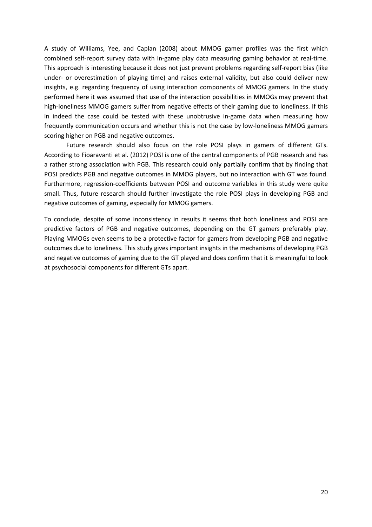A study of Williams, Yee, and Caplan (2008) about MMOG gamer profiles was the first which combined self-report survey data with in-game play data measuring gaming behavior at real-time. This approach is interesting because it does not just prevent problems regarding self-report bias (like under- or overestimation of playing time) and raises external validity, but also could deliver new insights, e.g. regarding frequency of using interaction components of MMOG gamers. In the study performed here it was assumed that use of the interaction possibilities in MMOGs may prevent that high-loneliness MMOG gamers suffer from negative effects of their gaming due to loneliness. If this in indeed the case could be tested with these unobtrusive in-game data when measuring how frequently communication occurs and whether this is not the case by low-loneliness MMOG gamers scoring higher on PGB and negative outcomes.

 Future research should also focus on the role POSI plays in gamers of different GTs. According to Fioaravanti et al. (2012) POSI is one of the central components of PGB research and has a rather strong association with PGB. This research could only partially confirm that by finding that POSI predicts PGB and negative outcomes in MMOG players, but no interaction with GT was found. Furthermore, regression-coefficients between POSI and outcome variables in this study were quite small. Thus, future research should further investigate the role POSI plays in developing PGB and negative outcomes of gaming, especially for MMOG gamers.

To conclude, despite of some inconsistency in results it seems that both loneliness and POSI are predictive factors of PGB and negative outcomes, depending on the GT gamers preferably play. Playing MMOGs even seems to be a protective factor for gamers from developing PGB and negative outcomes due to loneliness. This study gives important insights in the mechanisms of developing PGB and negative outcomes of gaming due to the GT played and does confirm that it is meaningful to look at psychosocial components for different GTs apart.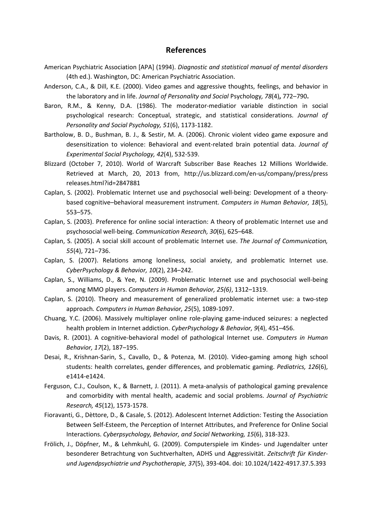# **References**

- American Psychiatric Association [APA] (1994). *Diagnostic and statistical manual of mental disorders* (4th ed.). Washington, DC: American Psychiatric Association.
- Anderson, C.A., & Dill, K.E. (2000). Video games and aggressive thoughts, feelings, and behavior in the laboratory and in life. *Journal of Personality and Social* Psychology*, 78*(4)**,** 772–790**.**
- Baron, R.M., & Kenny, D.A. (1986). The moderator-mediatior variable distinction in social psychological research: Conceptual, strategic, and statistical considerations. *Journal of Personality and Social Psychology, 51*(6), 1173-1182.
- Bartholow, B. D., Bushman, B. J., & Sestir, M. A. (2006). Chronic violent video game exposure and desensitization to violence: Behavioral and event-related brain potential data. *Journal of Experimental Social Psychology, 42*(4), 532-539.
- Blizzard (October 7, 2010). World of Warcraft Subscriber Base Reaches 12 Millions Worldwide. Retrieved at March, 20, 2013 from, http://us.blizzard.com/en-us/company/press/press releases.html?id=2847881
- Caplan, S. (2002). Problematic Internet use and psychosocial well-being: Development of a theory based cognitive–behavioral measurement instrument. *Computers in Human Behavior, 18*(5), 553–575.
- Caplan, S. (2003). Preference for online social interaction: A theory of problematic Internet use and psychosocial well-being. *Communication Research, 30*(6), 625–648.
- Caplan, S. (2005). A social skill account of problematic Internet use. *The Journal of Communication, 55*(4), 721–736.
- Caplan, S. (2007). Relations among loneliness, social anxiety, and problematic Internet use. *CyberPsychology & Behavior, 10*(2), 234–242.
- Caplan, S., Williams, D., & Yee, N. (2009). Problematic Internet use and psychosocial well-being among MMO players. *Computers in Human Behavior, 25(6)*, 1312–1319.
- Caplan, S. (2010). Theory and measurement of generalized problematic internet use: a two-step approach*. Computers in Human Behavior, 25*(5), 1089-1097.
- Chuang, Y.C. (2006). Massively multiplayer online role-playing game-induced seizures: a neglected health problem in Internet addiction. *CyberPsychology & Behavior, 9*(4), 451–456.
- Davis, R. (2001). A cognitive-behavioral model of pathological Internet use. *Computers in Human Behavior, 17*(2), 187–195.
- Desai, R., Krishnan-Sarin, S., Cavallo, D., & Potenza, M. (2010). Video-gaming among high school students: health correlates, gender differences, and problematic gaming. *Pediatrics, 126*(6), e1414-e1424.
- Ferguson, C.J., Coulson, K., & Barnett, J. (2011). A meta-analysis of pathological gaming prevalence and comorbidity with mental health, academic and social problems. *Journal of Psychiatric Research, 45*(12), 1573-1578.
- Fioravanti, G., Dèttore, D., & Casale, S. (2012). Adolescent Internet Addiction: Testing the Association Between Self-Esteem, the Perception of Internet Attributes, and Preference for Online Social Interactions. *Cyberpsychology, Behavior, and Social Networking, 15*(6), 318-323.
- Frölich, J., Döpfner, M., & Lehmkuhl, G. (2009). Computerspiele im Kindes- und Jugendalter unter besonderer Betrachtung von Suchtverhalten, ADHS und Aggressivität. *Zeitschrift für Kinder und Jugendpsychiatrie und Psychotherapie, 37*(5), 393-404. doi: 10.1024/1422-4917.37.5.393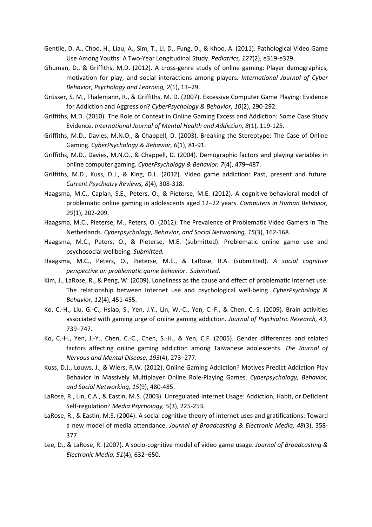- Gentile, D. A., Choo, H., Liau, A., Sim, T., Li, D., Fung, D., & Khoo, A. (2011). Pathological Video Game Use Among Youths: A Two-Year Longitudinal Study. *Pediatrics, 127*(2), e319-e329.
- Ghuman, D., & Griffiths, M.D. (2012). A cross-genre study of online gaming: Player demographics, motivation for play, and social interactions among players*. International Journal of Cyber Behavior, Psychology and Learning, 2*(1), 13–29.
- Grüsser, S. M., Thalemann, R., & Griffiths, M. D. (2007). Excessive Computer Game Playing: Evidence for Addiction and Aggression? *CyberPsychology & Behavior, 10*(2), 290-292.
- Griffiths, M.D. (2010). The Role of Context in Online Gaming Excess and Addiction: Some Case Study Evidence. *International Journal of Mental Health and Addiction, 8*(1), 119-125.
- Griffiths, M.D., Davies, M.N.O., & Chappell, D. (2003). Breaking the Stereotype: The Case of Online Gaming. *CyberPsychology & Behavior, 6*(1), 81-91.
- Griffiths, M.D., Davies, M.N.O., & Chappell, D. (2004). Demographic factors and playing variables in online computer gaming. *CyberPsychology & Behavior, 7*(4), 479–487.
- Griffiths, M.D., Kuss, D.J., & King, D.L. (2012). Video game addiction: Past, present and future. *Current Psychiatry Reviews, 8*(4), 308-318.
- Haagsma, M.C., Caplan, S.E., Peters, O., & Pieterse, M.E. (2012). A cognitive-behavioral model of problematic online gaming in adolescents aged 12–22 years. *Computers in Human Behavior, 29*(1), 202-209.
- Haagsma, M.C., Pieterse, M., Peters, O. (2012). The Prevalence of Problematic Video Gamers in The Netherlands. *Cyberpsychology, Behavior, and Social Networking, 15*(3), 162-168.
- Haagsma, M.C., Peters, O., & Pieterse, M.E. (submitted). Problematic online game use and psychosocial wellbeing. *Submitted.*
- Haagsma, M.C., Peters, O., Pieterse, M.E., & LaRose, R.A. (submitted). *A social cognitive perspective on problematic game behavior*. *Submitted.*
- Kim, J., LaRose, R., & Peng, W. (2009). Loneliness as the cause and effect of problematic Internet use: The relationship between Internet use and psychological well-being. *CyberPsychology & Behavior, 12*(4), 451-455.
- Ko, C.-H., Liu, G.-C., Hsiao, S., Yen, J.Y., Lin, W.-C., Yen, C.-F., & Chen, C.-S. (2009). Brain activities associated with gaming urge of online gaming addiction. *Journal of Psychiatric Research, 43*, 739–747.
- Ko, C.-H., Yen, J.-Y., Chen, C.-C., Chen, S.-H., & Yen, C.F. (2005). Gender differences and related factors affecting online gaming addiction among Taiwanese adolescents. *The Journal of Nervous and Mental Disease, 193*(4), 273–277.
- Kuss, D.J., Louws, J., & Wiers, R.W. (2012). Online Gaming Addiction? Motives Predict Addiction Play Behavior in Massively Multiplayer Online Role-Playing Games. *Cyberpsychology, Behavior, and Social Networking, 15*(9), 480-485.
- LaRose, R., Lin, C.A., & Eastin, M.S. (2003). Unregulated Internet Usage: Addiction, Habit, or Deficient Self-regulation? *Media Psychology, 5*(3), 225-253.
- LaRose, R., & Eastin, M.S. (2004). A social cognitive theory of internet uses and gratifications: Toward a new model of media attendance. *Journal of Broadcasting & Electronic Media, 48*(3), 358- 377.
- Lee, D., & LaRose, R. (2007). A socio-cognitive model of video game usage. *Journal of Broadcasting & Electronic Media, 51*(4), 632–650.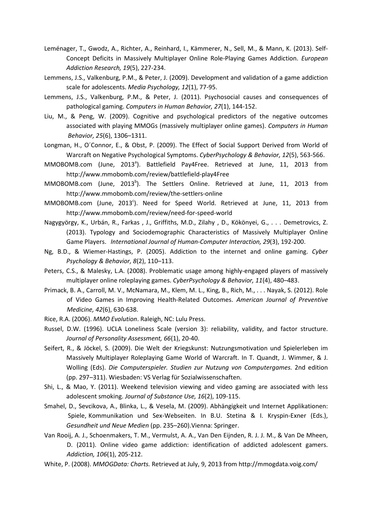- Leménager, T., Gwodz, A., Richter, A., Reinhard, I., Kämmerer, N., Sell, M., & Mann, K. (2013). Self- Concept Deficits in Massively Multiplayer Online Role-Playing Games Addiction. *European Addiction Research, 19*(5), 227-234.
- Lemmens, J.S., Valkenburg, P.M., & Peter, J. (2009). Development and validation of a game addiction scale for adolescents. *Media Psychology, 12*(1), 77-95.
- Lemmens, J.S., Valkenburg, P.M., & Peter, J. (2011). Psychosocial causes and consequences of pathological gaming. *Computers in Human Behavior, 27*(1), 144-152.
- Liu, M., & Peng, W. (2009). Cognitive and psychological predictors of the negative outcomes associated with playing MMOGs (massively multiplayer online games). *Computers in Human Behavior, 25*(6), 1306–1311.
- Longman, H., O´Connor, E., & Obst, P. (2009). The Effect of Social Support Derived from World of Warcraft on Negative Psychological Symptoms. *CyberPsychology & Behavior, 12*(5), 563-566.
- MMOBOMB.com (June, 2013<sup>a</sup>). Battlefield Pay4Free. Retrieved at June, 11, 2013 from http://www.mmobomb.com/review/battlefield-play4Free
- MMOBOMB.com (June, 2013<sup>b</sup>). The Settlers Online. Retrieved at June, 11, 2013 from http://www.mmobomb.com/review/the-settlers-online
- MMOBOMB.com (June, 2013<sup>c</sup>). Need for Speed World. Retrieved at June, 11, 2013 from http://www.mmobomb.com/review/need-for-speed-world
- Nagygyörgy, K., Urbán, R., Farkas , J., Griffiths, M.D., Zilahy , D., Kökönyei, G., . . . Demetrovics, Z. (2013). Typology and Sociodemographic Characteristics of Massively Multiplayer Online Game Players. *International Journal of Human-Computer Interaction, 29*(3), 192-200.
- Ng, B.D., & Wiemer-Hastings, P. (2005). Addiction to the internet and online gaming. *Cyber Psychology & Behavior, 8*(2), 110–113.
- Peters, C.S., & Malesky, L.A. (2008). Problematic usage among highly-engaged players of massively multiplayer online roleplaying games. *CyberPsychology & Behavior, 11*(4), 480–483.
- Primack, B. A., Carroll, M. V., McNamara, M., Klem, M. L., King, B., Rich, M., . . . Nayak, S. (2012). Role of Video Games in Improving Health-Related Outcomes. *American Journal of Preventive Medicine, 42*(6), 630-638.
- Rice, R.A. (2006). *MMO Evolution*. Raleigh, NC: Lulu Press.
- Russel, D.W. (1996). UCLA Loneliness Scale (version 3): reliability, validity, and factor structure. *Journal of Personality Assessment, 66*(1), 20-40.
- Seifert, R., & Jöckel, S. (2009). Die Welt der Kriegskunst: Nutzungsmotivation und Spielerleben im Massively Multiplayer Roleplaying Game World of Warcraft. In T. Quandt, J. Wimmer, & J. Wolling (Eds). *Die Computerspieler. Studien zur Nutzung von Computergames.* 2nd edition (pp. 297–311). Wiesbaden: VS Verlag für Sozialwissenschaften.
- Shi, L., & Mao, Y. (2011). Weekend television viewing and video gaming are associated with less adolescent smoking. *Journal of Substance Use, 16*(2), 109-115.
- Smahel, D., Sevcikova, A., Blinka, L., & Vesela, M. (2009). Abhängigkeit und Internet Applikationen: Spiele, Kommunikation und Sex-Webseiten. In B.U. Stetina & I. Kryspin-Exner (Eds.), *Gesundheit und Neue Medien* (pp. 235–260).Vienna: Springer.
- Van Rooij, A. J., Schoenmakers, T. M., Vermulst, A. A., Van Den Eijnden, R. J. J. M., & Van De Mheen, D. (2011). Online video game addiction: identification of addicted adolescent gamers. *Addiction, 106*(1), 205-212.
- White, P. (2008). *MMOGData: Charts.* Retrieved at July, 9, 2013 from http://mmogdata.voig.com/